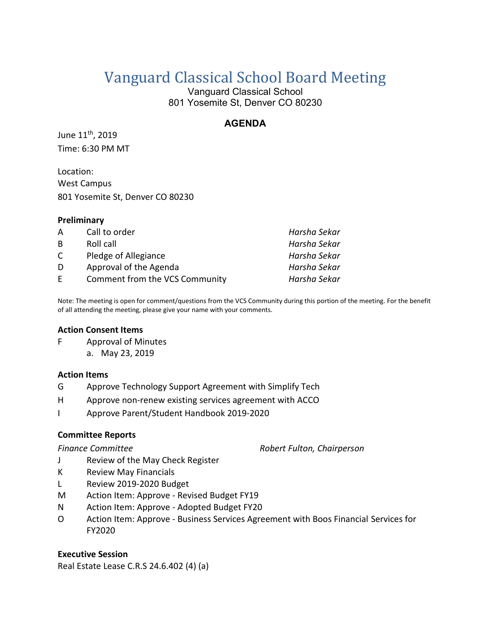# Vanguard Classical School Board Meeting

Vanguard Classical School 801 Yosemite St, Denver CO 80230

# **AGENDA**

June 11th, 2019 Time: 6:30 PM MT

Location: West Campus 801 Yosemite St, Denver CO 80230

# **Preliminary**

| A | Call to order                  | Harsha Sekar |
|---|--------------------------------|--------------|
| B | Roll call                      | Harsha Sekar |
| C | Pledge of Allegiance           | Harsha Sekar |
| D | Approval of the Agenda         | Harsha Sekar |
| F | Comment from the VCS Community | Harsha Sekar |

Note: The meeting is open for comment/questions from the VCS Community during this portion of the meeting. For the benefit of all attending the meeting, please give your name with your comments.

### **Action Consent Items**

F Approval of Minutes a. May 23, 2019

#### **Action Items**

- G Approve Technology Support Agreement with Simplify Tech
- H Approve non-renew existing services agreement with ACCO
- I Approve Parent/Student Handbook 2019-2020

# **Committee Reports**

*Finance Committee Robert Fulton, Chairperson*

- J Review of the May Check Register
- K Review May Financials
- L Review 2019-2020 Budget
- M Action Item: Approve Revised Budget FY19
- N Action Item: Approve Adopted Budget FY20
- O Action Item: Approve Business Services Agreement with Boos Financial Services for FY2020

# **Executive Session**

Real Estate Lease C.R.S 24.6.402 (4) (a)